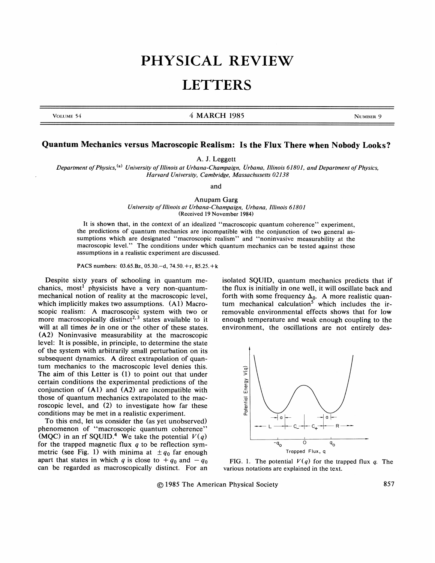## PHYSICAL REVIEW

## **LETTERS**

## VOLUME 54 NOLUME 54 NOVEMBER 9

## Quantum Mechanics versus Macroscopic Realism: Is the Flux There when Nobody Looks?

A. J. Leggett

Department of Physics, <sup>(a)</sup> University of Illinois at Urbana-Champaign, Urbana, Illinois 61801, and Department of Physics, Harvard University, Cambridge, Massachusetts 02138

and

Anupam Garg University of Illinois at Urbana-Champaign, Urbana, Illinois 61801 (Received 19 November 1984)

It is shown that, in the context of an idealized "macroscopic quantum coherence" experiment, the predictions of quantum mechanics are incompatible with the conjunction of two general assumptions which are designated "macroscopic realism" and "noninvasive measurability at the macroscopic level." The conditions under which quantum mechanics can be tested against these assumptions in a realistic experiment are discussed.

PACS numbers: 03.65.Bz, 05.30.—d, 74.50.+r, 85.25.+k

Despite sixty years of schooling in quantum mechanics, most' physicists have a very non-quantummechanical notion of reality at the macroscopic level, which implicitly makes two assumptions.  $(A1)$  Macroscopic realism: A macroscopic system with two or more macroscopically distinct<sup>2, 3</sup> states available to it will at all times be in one or the other of these states. (A2) Noninvasive measurability at the macroscopic level: It is possible, in principle, to determine the state of the system with arbitrarily small perturbation on its subsequent dynamics. A direct extrapolation of quantum mechanics to the macroscopic level denies this. The aim of this Letter is (1) to point out that under certain conditions the experimental predictions of the conjunction of (Al) and (A2) are incompatible with those of quantum mechanics extrapolated to the macroscopic level, and (2) to investigate how far these conditions may be met in a realistic experiment.

To this end, let us consider the (as yet unobserved) phenomenon of "macroscopic quantum coherence" (MQC) in an rf SQUID.<sup>4</sup> We take the potential  $V(q)$ for the trapped magnetic flux  $q$  to be reflection symmetric (see Fig. 1) with minima at  $\pm q_0$  far enough apart that states in which q is close to  $+ q_0$  and  $- q_0$ can be regarded as macroscopically distinct. For an isolated SQUID, quantum mechanics predicts that if the flux is initially in one well, it will oscillate back and forth with some frequency  $\Delta_0$ . A more realistic quanum mechanical calculation<sup>3</sup> which includes the irremovable environmental effects shows that for low enough temperature and weak enough coupling to the environment, the oscillations are not entirely des-



FIG. 1. The potential  $V(q)$  for the trapped flux q. The various notations are explained in the text.

1985 The American Physical Society 857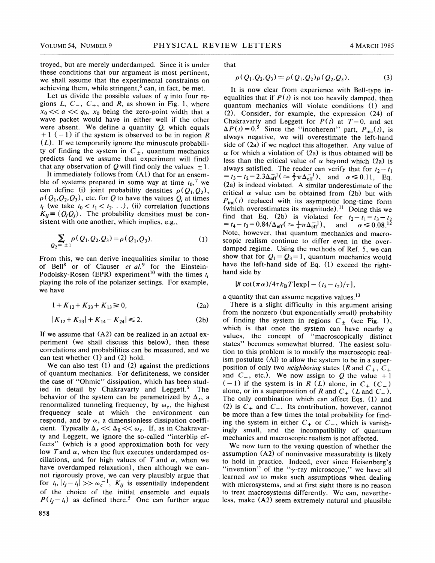troyed, but are merely underdamped. Since it is under these conditions that our argument is most pertinent, we shall assume that the experimental constraints on achieving them, while stringent,  $6$  can, in fact, be met.

Let us divide the possible values of  $q$  into four re-Let us divide the possible values of q into four regions L,  $C_-, C_+$ , and R, as shown in Fig. 1, where  $x_0 \ll a \ll q_0$ ,  $x_0$  being the zero-point width that a wave packet would have in either well if the other were absent. We define a quantity  $Q$ , which equals  $+1$  (-1) if the system is observed to be in region R  $(L)$ . If we temporarily ignore the minuscule probability of finding the system in  $C_{\pm}$ , quantum mechanics predicts (and we assume that experiment will find) that any observation of Q will find only the values  $\pm 1$ .

It immediately follows from (Al) that for an ensemble of systems prepared in some way at time  $t_0$ , we can define (i) joint probability densities  $\rho(Q_1, Q_2)$ ,  $\rho(Q_1, Q_2, Q_3)$ , etc. for Q to have the values  $Q_i$  at times  $t_i$  (we take  $t_0 < t_1 < t_2$ ...), (ii) correlation functions  $K_{ij} \equiv \langle Q_i Q_j \rangle$ . The probability densities must be consistent with one another, which implies, e.g.,

$$
\sum_{Q_2 = \pm 1} \rho(Q_1, Q_2, Q_3) = \rho(Q_1, Q_3). \tag{1}
$$

From this, we can derive inequalities similar to those of Bell<sup>8</sup> or of Clauser et al.<sup>9</sup> for the Einstein-Podolsky-Rosen (EPR) experiment<sup>10</sup> with the times  $t_i$ playing the role of the polarizer settings. For example, we have

$$
1 + K_{12} + K_{23} + K_{13} \ge 0, \tag{2a}
$$

$$
|K_{12} + K_{23}| + K_{14} - K_{24}| \le 2.
$$
 (2b)

If we assume that  $(A2)$  can be realized in an actual experiment (we shall discuss this below), then these correlations and probabilities can be measured, and we can test whether (1) and (2) hold.

We can also test (1) and (2) against the predictions of quantum mechanics. For definiteness, we consider the case of "Ohmic" dissipation, which has been studied in detail by Chakravarty and Leggett. $5$  The behavior of the system can be parametrized by  $\Delta_r$ , a renormalized tunneling frequency, by  $\omega_c$ , the highest frequency scale at which the environment can respond, and by  $\alpha$ , a dimensionless dissipation coefficient. Typically  $\Delta$ , <<  $\Delta$ <sub>0</sub> <<  $\omega$ <sub>c</sub>. If, as in Chakravarty and Leggett, we ignore the so-called "interblip effects" (which is a good approximation both for very low T and  $\alpha$ , when the flux executes underdamped oscillations, and for high values of T and  $\alpha$ , when we have overdamped relaxation), then although we cannot rigorously prove, we can very plausibly argue that<br>for  $t_i$ ,  $|t_j - t_i| \gg \omega_c^{-1}$ ,  $K_{ij}$  is essentially independent of the choice of the initial ensemble and equals  $P(t_i - t_i)$  as defined there.<sup>5</sup> One can further argue

that

$$
\rho(Q_1, Q_2, Q_3) \simeq \rho(Q_1, Q_2) \rho(Q_2, Q_3).
$$
 (3)

It is now clear from experience with Bell-type inequalities that if  $P(t)$  is not too heavily damped, then quantum mechanics will violate conditions (1) and (2). Consider, for example, the expression (24) of Chakravarty and Leggett for  $P(t)$  at  $T=0$ , and set  $\Delta P(t) = 0.\dot{5}$  Since the "incoherent" part,  $P_{\text{inc}}(t)$ , is always negative, we will overestimate the left-hand side of (2a) if we neglect this altogether. Any value of  $\alpha$  for which a violation of (2a) is thus obtained will be less than the critical value of  $\alpha$  beyond which (2a) is always satisfied. The reader can verify that for  $t_2 - t_1$ ays satisfied. The reader can verify that for  $t_2 - t_1$ <br>  $t_3 - t_2 = 2.3\Delta_{\text{eff}}^{-1}$  ( $\approx \frac{2}{3}\pi \Delta_{\text{eff}}^{-1}$ ), and  $\alpha \le 0.11$ , Eq. (2a) is indeed violated. A similar underestimate of the critical  $\alpha$  value can be obtained from (2b) but with  $P_{\text{inc}}(t)$  replaced with its asymptotic long-time form<br>(which overestimates its magnitude).<sup>11</sup> Doing this we which overestimates its magnitude).<sup>11</sup> Doing this we find that Eq. (2b) is violated for  $t_2 - t_1 = t_3 - t_4 - t_3 = 0.84/\Delta_{eff} (\approx \frac{1}{4} \pi \Delta_{eff}^{-1})$ , and  $\alpha \le 0.08$ . violated for  $t_2 - t_1 = t_3 - t_2$ <br>  $-\pi \Delta_{eff}^{-1}$ , and  $\alpha \le 0.08$ .<sup>12</sup> Note, however, that quantum mechanics and macroscopic realism continue to differ even in the overdamped regime. Using the methods of Ref. 5, we can show that for  $Q_1 = Q_3 = 1$ , quantum mechanics would have the left-hand side of Eq. (1) exceed the righthand side by

$$
[\hbar \cot(\pi\alpha)/4\tau k_{\rm B}T] \exp[-(t_3-t_2)/\tau],
$$

a quantity that can assume negative values.<sup>13</sup>

There is a slight difficulty in this argument arising from the nonzero (but exponentially small) probability of finding the system in regions  $C_{\pm}$  (see Fig. 1), which is that once the system can have nearby  $q$ values, the concept of "macroscopically distinct states" becomes somewhat blurred. The easiest solution to this problem is to modify the macroscopic realism postulate (Al) to allow the system to be in a superposition of only two *neighboring* states (R and  $C_+$ ,  $C_+$ and  $C_$ , etc.). We now assign to Q the value +1  $(-1)$  if the system is in R (L) alone, in  $C_{+}$  (C\_) alone, or in a superposition of R and  $C_+$  (L and  $C_-$ ). The only combination which can affect Eqs. (1) and (2) is  $C_+$  and  $C_-$ . Its contribution, however, cannot be more than a few times the total probability for finding the system in either  $C_+$  or  $C_-$ , which is vanishingly small, and the incompatibility of quantum mechanics and macroscopic realism is not affected.

We now turn to the vexing question of whether the assumption (A2) of noninvasive measurability is likely to hold in practice. Indeed, ever since Heisenberg's o hold in practice. Indeed, ever since Heisenberg's 'invention'' of the " $\gamma$ -ray microscope," we have all learned not to make such assumptions when dealing with microsystems, and at first sight there is no reason to treat macrosysterns differently. We can, nevertheless, make (A2) seem extremely natural and plausible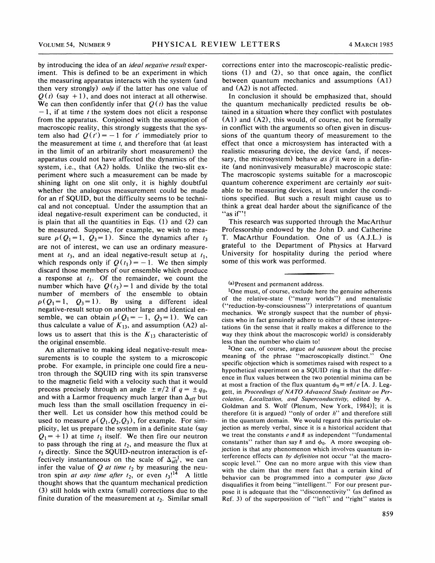by introducing the idea of an *ideal negative result* experiment. This is defined to be an experiment in which the measuring apparatus interacts with the system (and then very strongly) *only* if the latter has one value of  $Q(t)$  (say +1), and does not interact at all otherwise. We can then confidently infer that  $Q(t)$  has the value  $-1$ , if at time t the system does not elicit a response from the apparatus. Conjoined with the assumption of macroscopic reality, this strongly suggests that the system also had  $Q(t') = -1$  for t' immediately prior to the measurement at time  $t$ , and therefore that (at least in the limit of an arbitrarily short measurement) the apparatus could not have affected the dynamics of the system, i.e., that (A2) holds. Unlike the two-slit experiment where such a measurement can be made by shining light on one slit only, it is highly doubtful whether the analogous measurement could be made for an rf SQUID, but the difficulty seems to be technical and not conceptual. Under the assumption that an ideal negative-result experiment can be conducted, it is plain that all the quantities in Eqs. (1) and (2) can be measured. Suppose, for example, we wish to measure  $\rho(Q_1 = 1, Q_3 = 1)$ . Since the dynamics after  $t_3$ are not of interest, we can use an ordinary measurement at  $t_3$ , and an ideal negative-result setup at  $t_1$ , which responds only if  $Q(t_1) = -1$ . We then simply discard those members of our ensemble which produce a response at  $t_1$ . Of the remainder, we count the number which have  $Q(t_3) = 1$  and divide by the total number of members of the ensemble to obtain  $\rho (Q_1 = 1, Q_3 = 1)$ . By using a different ideal negative-result setup on another large and identical ensemble, we can obtain  $\rho(Q_1 = -1, Q_3 = 1)$ . We can thus calculate a value of  $K_{13}$ , and assumption (A2) allows us to assert that this is the  $K_{13}$  characteristic of the original ensemble.

An alternative to making ideal negative-result measurements is to couple the system to a microscopic probe. For example, in principle one could fire a neutron through the SQUID ring with its spin transverse to the magnetic field with a velocity such that it would precess precisely through an angle  $\pm \pi/2$  if  $q = \pm q_0$ , and with a Larmor frequency much larger than  $\Delta_{\text{eff}}$  but much less than the small oscillation frequency in either well. Let us consider how this method could be used to measure  $\rho(Q_1, Q_2, Q_3)$ , for example. For simplicity, let us prepare the system in a definite state (say  $Q_1$ = +1) at time  $t_1$  itself. We then fire our neutron to pass through the ring at  $t_2$ , and measure the flux at  $t_3$  directly. Since the SQUID-neutron interaction is effectively instantaneous on the scale of  $\Delta_{\text{eff}}^{-1}$ , we can infer the value of  $Q$  at time  $t_2$  by measuring the neutron spin at any time after  $t_2$ , or even  $t_3$ !<sup>14</sup> A little thought shows that the quantum mechanical prediction (3) still holds with extra (small) corrections due to the finite duration of the measurement at  $t_2$ . Similar small corrections enter into the macroscopic-realistic predictions (1) and (2), so that once again, the conflict between quantum mechanics and assumptions (Al) and (A2) is not affected.

In conclusion it should be emphasized that, should the quantum mechanically predicted results be obtained in a situation where they conflict with postulates (Al) and (A2), this would, of course, not be formally in conflict with the arguments so often given in discussions of the quantum theory of measurement to the effect that once a microsystem has interacted with a realistic measuring device, the device (and, if necessary, the microsystem) behave as if it were in a definite (and noninvasively measurable) macroscopic state: The macroscopic systems suitable for a macroscopic quantum coherence experiment are certainly not suitable to be measuring devices, at least under the conditions specified. But such a result might cause us to think a great deal harder about the significance of the "as if"!

This research was supported through the MacArthur Professorship endowed by the John D. and Catherine T. MacArthur Foundation. One of us (A.J.L.) is grateful to the Department of Physics at Harvard University for hospitality during the period where some of this work was performed.

<sup>2</sup>One can, of course, argue *ad nauseam* about the precise meaning of the phrase "macroscopically distinct." One specific objection which is sometimes raised with respect to a hypothetical experiment on a SQUID ring is that the difference in flux values between the two potential minima can be at most a fraction of the flux quantum  $\phi_0 = \pi \hbar / e$  [A. J. Leggett, in Proceedings of NATO Advanced Study Institute on Percolation, Localization, and Superconductivity, edited by A. Goldman and S. Wolf (Plenum, New York, 1984)]; it is therefore (it is argued) "only of order  $h$ " and therefore still in the quantum domain. We would regard this particular objection as merely verbal, since it is a historical accident that we treat the constants  $e$  and  $\hbar$  as independent "fundamental constants" rather than say  $\hbar$  and  $\phi_0$ . A more sweeping objection is that any phenomenon which involves quantum inerference effects can by definition not occur "at the macro-<br>copic level." One can no more argue with this view than with the claim that the mere fact that a certain kind of behavior can be programmed into a computer ipso facto disqualifies it from being "intelligent." For our present purpose it is adequate that the "disconnectivity" (as defined as Ref. 3) of the superposition of "left" and "right" states is

<sup>(</sup>a) Present and permanent address.

 $1$ One must, of course, exclude here the genuine adherents of the relative-state ("many worlds") and mentalistic ("reduction-by-consciousness") interpretations of quantum mechanics. We strongly suspect that the number of physicists who in fact genuinely adhere to either of these interpretations (in the sense that it really makes a difference to the way they think about the macroscopic world) is considerably less than the number who claim to!